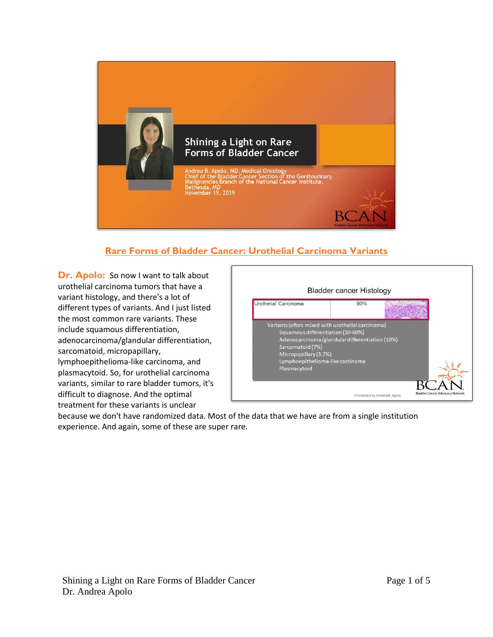

# **Rare Forms of Bladder Cancer: Urothelial Carcinoma Variants**

**Dr. Apolo:** So now I want to talk about urothelial carcinoma tumors that have a variant histology, and there's a lot of different types of variants. And I just listed the most common rare variants. These include squamous differentiation, adenocarcinoma/glandular differentiation, sarcomatoid, micropapillary, lymphoepithelioma-like carcinoma, and plasmacytoid. So, for urothelial carcinoma variants, similar to rare bladder tumors, it's difficult to diagnose. And the optimal treatment for these variants is unclear



because we don't have randomized data. Most of the data that we have are from a single institution experience. And again, some of these are super rare.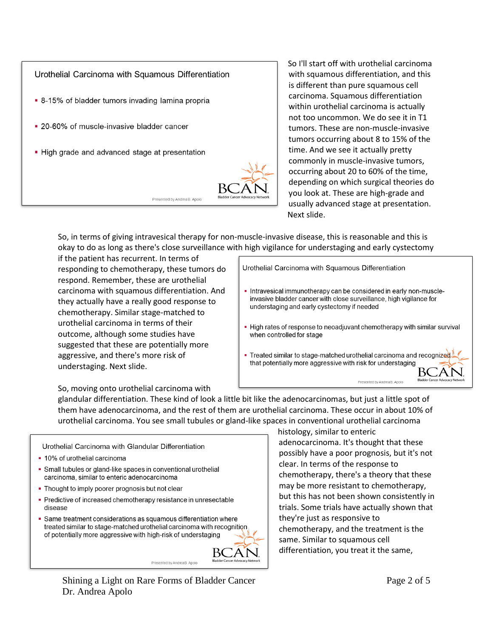

So I'll start off with urothelial carcinoma with squamous differentiation, and this is different than pure squamous cell carcinoma. Squamous differentiation within urothelial carcinoma is actually not too uncommon. We do see it in T1 tumors. These are non-muscle-invasive tumors occurring about 8 to 15% of the time. And we see it actually pretty commonly in muscle-invasive tumors, occurring about 20 to 60% of the time, depending on which surgical theories do you look at. These are high-grade and usually advanced stage at presentation. Next slide.

So, in terms of giving intravesical therapy for non-muscle-invasive disease, this is reasonable and this is okay to do as long as there's close surveillance with high vigilance for understaging and early cystectomy

if the patient has recurrent. In terms of responding to chemotherapy, these tumors do respond. Remember, these are urothelial carcinoma with squamous differentiation. And they actually have a really good response to chemotherapy. Similar stage-matched to urothelial carcinoma in terms of their outcome, although some studies have suggested that these are potentially more aggressive, and there's more risk of understaging. Next slide.

Urothelial Carcinoma with Squamous Differentiation

- Intravesical immunotherapy can be considered in early non-muscleinvasive bladder cancer with close surveillance, high vigilance for understaging and early cystectomy if needed
- High rates of response to neoadjuvant chemotherapy with similar survival when controlled for stage
- Treated similar to stage-matched urothelial carcinoma and recognized that potentially more aggressive with risk for understaging

So, moving onto urothelial carcinoma with

glandular differentiation. These kind of look a little bit like the adenocarcinomas, but just a little spot of them have adenocarcinoma, and the rest of them are urothelial carcinoma. These occur in about 10% of urothelial carcinoma. You see small tubules or gland-like spaces in conventional urothelial carcinoma

Urothelial Carcinoma with Glandular Differentiation

- 10% of urothelial carcinoma
- Small tubules or gland-like spaces in conventional urothelial carcinoma, similar to enteric adenocarcinoma
- Thought to imply poorer prognosis but not clear
- Predictive of increased chemotherapy resistance in unresectable disease
- Same treatment considerations as squamous differentiation where treated similar to stage-matched urothelial carcinoma with recognition of potentially more aggressive with high-risk of understaging



histology, similar to enteric adenocarcinoma. It's thought that these possibly have a poor prognosis, but it's not clear. In terms of the response to chemotherapy, there's a theory that these may be more resistant to chemotherapy, but this has not been shown consistently in trials. Some trials have actually shown that they're just as responsive to chemotherapy, and the treatment is the same. Similar to squamous cell differentiation, you treat it the same,

Shining a Light on Rare Forms of Bladder Cancer Dr. Andrea Apolo

Presented by Andrea B. Apolo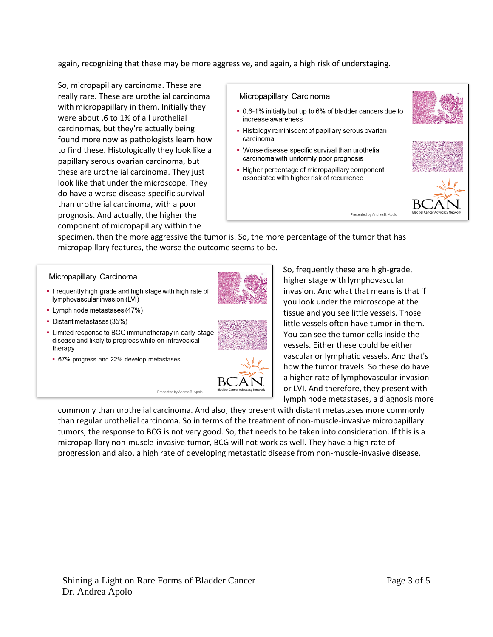again, recognizing that these may be more aggressive, and again, a high risk of understaging.

So, micropapillary carcinoma. These are really rare. These are urothelial carcinoma with micropapillary in them. Initially they were about .6 to 1% of all urothelial carcinomas, but they're actually being found more now as pathologists learn how to find these. Histologically they look like a papillary serous ovarian carcinoma, but these are urothelial carcinoma. They just look like that under the microscope. They do have a worse disease-specific survival than urothelial carcinoma, with a poor prognosis. And actually, the higher the component of micropapillary within the

### Micropapillary Carcinoma

- . 0.6-1% initially but up to 6% of bladder cancers due to increase awareness
- Histology reminiscent of papillary serous ovarian carcinoma
- Worse disease-specific survival than urothelial carcinoma with uniformly poor prognosis
- Higher percentage of micropapillary component associated with higher risk of recurrence



specimen, then the more aggressive the tumor is. So, the more percentage of the tumor that has micropapillary features, the worse the outcome seems to be.

#### Micropapillary Carcinoma

- Frequently high-grade and high stage with high rate of lymphovascular invasion (LVI)
- Lymph node metastases (47%)
- Distant metastases (35%)
- Limited response to BCG immunotherapy in early-stage disease and likely to progress while on intravesical therapy

Presented by Andrea B. Apolo

• 67% progress and 22% develop metastases







So, frequently these are high-grade, higher stage with lymphovascular invasion. And what that means is that if you look under the microscope at the tissue and you see little vessels. Those little vessels often have tumor in them. You can see the tumor cells inside the vessels. Either these could be either vascular or lymphatic vessels. And that's how the tumor travels. So these do have a higher rate of lymphovascular invasion or LVI. And therefore, they present with lymph node metastases, a diagnosis more

Presented by Andrea B. Apolo

commonly than urothelial carcinoma. And also, they present with distant metastases more commonly than regular urothelial carcinoma. So in terms of the treatment of non-muscle-invasive micropapillary tumors, the response to BCG is not very good. So, that needs to be taken into consideration. If this is a micropapillary non-muscle-invasive tumor, BCG will not work as well. They have a high rate of progression and also, a high rate of developing metastatic disease from non-muscle-invasive disease.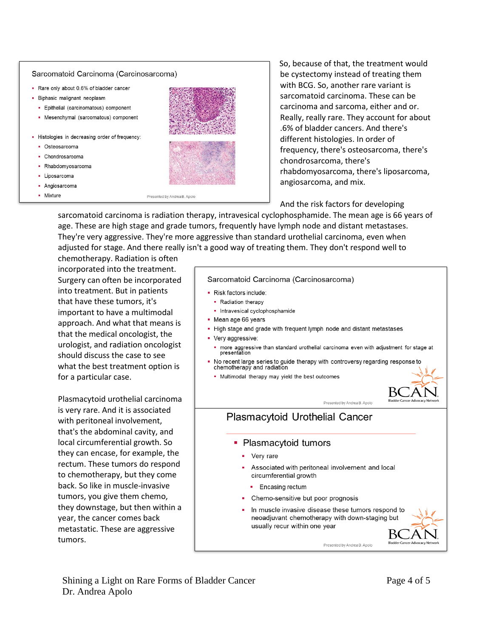### Sarcomatoid Carcinoma (Carcinosarcoma)

- . Rare only about 0.6% of bladder cancer
- · Biphasic malignant neoplasm
	- · Epithelial (carcinomatous) component
	- Mesenchymal (sarcomatous) component
- Histologies in decreasing order of frequency:
	- · Osteosarcoma
	- Chondrosarcoma
	- Rhabdomvosarcoma
	- · Liposarcoma
	- · Angiosarcoma
	- Mixture



So, because of that, the treatment would be cystectomy instead of treating them with BCG. So. another rare variant is sarcomatoid carcinoma. These can be carcinoma and sarcoma, either and or. Really, really rare. They account for about .6% of bladder cancers. And there's different histologies. In order of frequency, there's osteosarcoma, there's chondrosarcoma, there's rhabdomyosarcoma, there's liposarcoma, angiosarcoma, and mix.

And the risk factors for developing

sarcomatoid carcinoma is radiation therapy, intravesical cyclophosphamide. The mean age is 66 years of age. These are high stage and grade tumors, frequently have lymph node and distant metastases. They're very aggressive. They're more aggressive than standard urothelial carcinoma, even when adjusted for stage. And there really isn't a good way of treating them. They don't respond well to

chemotherapy. Radiation is often incorporated into the treatment. Surgery can often be incorporated into treatment. But in patients that have these tumors, it's important to have a multimodal approach. And what that means is that the medical oncologist, the urologist, and radiation oncologist should discuss the case to see what the best treatment option is for a particular case.

Plasmacytoid urothelial carcinoma is very rare. And it is associated with peritoneal involvement, that's the abdominal cavity, and local circumferential growth. So they can encase, for example, the rectum. These tumors do respond to chemotherapy, but they come back. So like in muscle-invasive tumors, you give them chemo, they downstage, but then within a year, the cancer comes back metastatic. These are aggressive tumors.

#### Sarcomatoid Carcinoma (Carcinosarcoma)

- · Risk factors include:
- Radiation therapy
	- · Intravesical cyclophosphamide
- Mean age 66 years
- High stage and grade with frequent lymph node and distant metastases
- Very aggressive:
	- more aggressive than standard urothelial carcinoma even with adjustment for stage at<br>presentation
- No recent large series to guide therapy with controversy regarding response to chemotherapy and radiation
	- . Multimodal therapy may yield the best outcomes



# Plasmacytoid Urothelial Cancer

- Plasmacytoid tumors
	- Very rare
	- Associated with peritoneal involvement and local circumferential growth
		- Encasing rectum
	- Chemo-sensitive but poor prognosis
	- In muscle invasive disease these tumors respond to neoadjuvant chemotherapy with down-staging but usually recur within one year

Presented by Andrea B. Apolo

Presented by Andrea B Apolo

BC